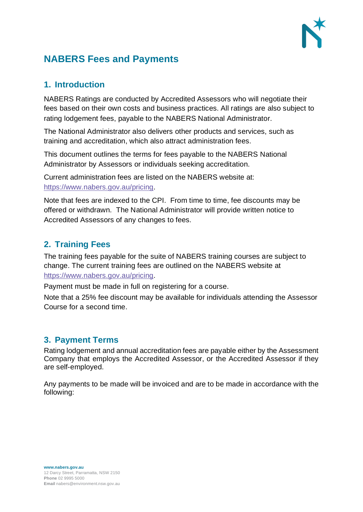

# **NABERS Fees and Payments**

#### **1. Introduction**

NABERS Ratings are conducted by Accredited Assessors who will negotiate their fees based on their own costs and business practices. All ratings are also subject to rating lodgement fees, payable to the NABERS National Administrator.

The National Administrator also delivers other products and services, such as training and accreditation, which also attract administration fees.

This document outlines the terms for fees payable to the NABERS National Administrator by Assessors or individuals seeking accreditation.

Current administration fees are listed on the NABERS website at: [https://www.nabers.gov.au/pricing.](https://www.nabers.gov.au/pricing)

Note that fees are indexed to the CPI. From time to time, fee discounts may be offered or withdrawn. The National Administrator will provide written notice to Accredited Assessors of any changes to fees.

## **2. Training Fees**

The training fees payable for the suite of NABERS training courses are subject to change. The current training fees are outlined on the NABERS website at [https://www.nabers.gov.au/pricing.](https://www.nabers.gov.au/pricing)

Payment must be made in full on registering for a course.

Note that a 25% fee discount may be available for individuals attending the Assessor Course for a second time.

## **3. Payment Terms**

Rating lodgement and annual accreditation fees are payable either by the Assessment Company that employs the Accredited Assessor, or the Accredited Assessor if they are self-employed.

Any payments to be made will be invoiced and are to be made in accordance with the following: